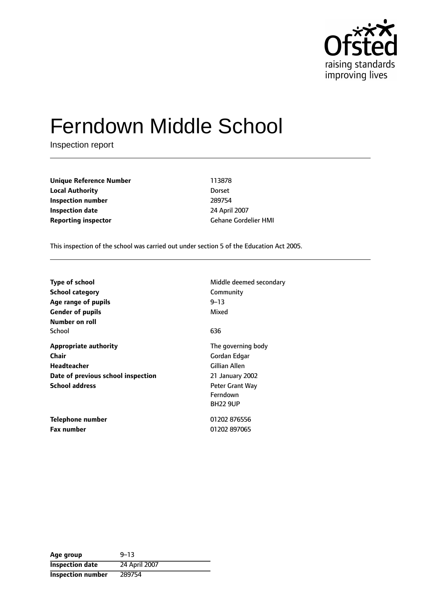

# Ferndown Middle School

Inspection report

**Unique Reference Number** 113878 **Local Authority** Dorset **Inspection number** 289754 **Inspection date** 24 April 2007 **Reporting inspector** Gehane Gordelier HMI

This inspection of the school was carried out under section 5 of the Education Act 2005.

| <b>Type of school</b>              | Middle deemed secondary |
|------------------------------------|-------------------------|
| <b>School category</b>             | Community               |
| Age range of pupils                | $9 - 13$                |
| <b>Gender of pupils</b>            | Mixed                   |
| Number on roll                     |                         |
| School                             | 636                     |
| <b>Appropriate authority</b>       | The governing body      |
| Chair                              | Gordan Edgar            |
| <b>Headteacher</b>                 | Gillian Allen           |
| Date of previous school inspection | 21 January 2002         |
| <b>School address</b>              | <b>Peter Grant Way</b>  |
|                                    | Ferndown                |
|                                    | <b>BH22 9UP</b>         |
| Telephone number                   | 01202 876556            |
| <b>Fax number</b>                  | 01202 897065            |

| Age group                | $9 - 13$      |
|--------------------------|---------------|
| <b>Inspection date</b>   | 24 April 2007 |
| <b>Inspection number</b> | 289754        |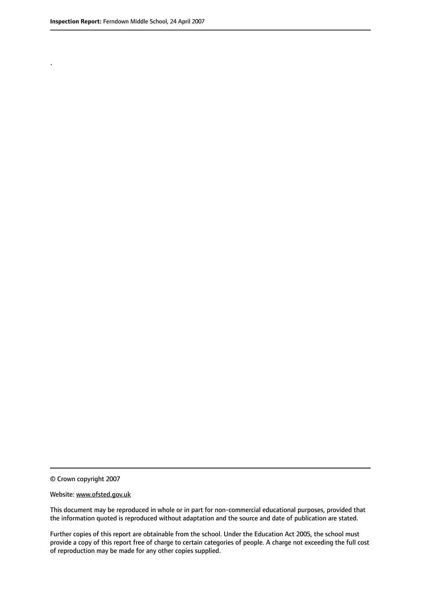.

© Crown copyright 2007

#### Website: www.ofsted.gov.uk

This document may be reproduced in whole or in part for non-commercial educational purposes, provided that the information quoted is reproduced without adaptation and the source and date of publication are stated.

Further copies of this report are obtainable from the school. Under the Education Act 2005, the school must provide a copy of this report free of charge to certain categories of people. A charge not exceeding the full cost of reproduction may be made for any other copies supplied.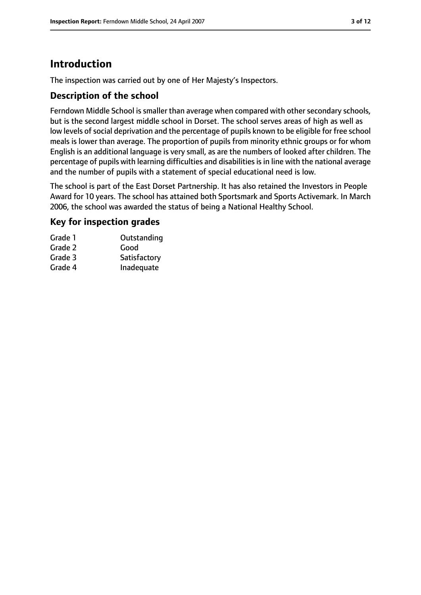## **Introduction**

The inspection was carried out by one of Her Majesty's Inspectors.

#### **Description of the school**

Ferndown Middle School is smaller than average when compared with other secondary schools, but is the second largest middle school in Dorset. The school serves areas of high as well as low levels of social deprivation and the percentage of pupils known to be eligible for free school meals is lower than average. The proportion of pupils from minority ethnic groups or for whom English is an additional language is very small, as are the numbers of looked after children. The percentage of pupils with learning difficulties and disabilities is in line with the national average and the number of pupils with a statement of special educational need is low.

The school is part of the East Dorset Partnership. It has also retained the Investors in People Award for 10 years. The school has attained both Sportsmark and Sports Activemark. In March 2006, the school was awarded the status of being a National Healthy School.

## **Key for inspection grades**

| Grade 1 | Outstanding  |
|---------|--------------|
| Grade 2 | Good         |
| Grade 3 | Satisfactory |
| Grade 4 | Inadequate   |
|         |              |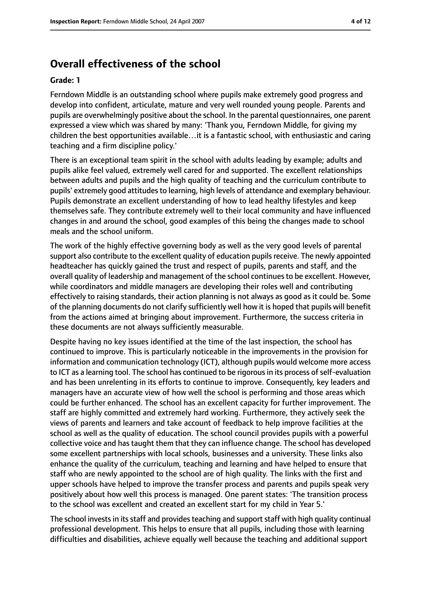## **Overall effectiveness of the school**

#### **Grade: 1**

Ferndown Middle is an outstanding school where pupils make extremely good progress and develop into confident, articulate, mature and very well rounded young people. Parents and pupils are overwhelmingly positive about the school. In the parental questionnaires, one parent expressed a view which was shared by many: 'Thank you, Ferndown Middle, for giving my children the best opportunities available…it is a fantastic school, with enthusiastic and caring teaching and a firm discipline policy.'

There is an exceptional team spirit in the school with adults leading by example; adults and pupils alike feel valued, extremely well cared for and supported. The excellent relationships between adults and pupils and the high quality of teaching and the curriculum contribute to pupils' extremely good attitudes to learning, high levels of attendance and exemplary behaviour. Pupils demonstrate an excellent understanding of how to lead healthy lifestyles and keep themselves safe. They contribute extremely well to their local community and have influenced changes in and around the school, good examples of this being the changes made to school meals and the school uniform.

The work of the highly effective governing body as well as the very good levels of parental support also contribute to the excellent quality of education pupils receive. The newly appointed headteacher has quickly gained the trust and respect of pupils, parents and staff, and the overall quality of leadership and management of the school continuesto be excellent. However, while coordinators and middle managers are developing their roles well and contributing effectively to raising standards, their action planning is not always as good as it could be. Some of the planning documents do not clarify sufficiently well how it is hoped that pupils will benefit from the actions aimed at bringing about improvement. Furthermore, the success criteria in these documents are not always sufficiently measurable.

Despite having no key issues identified at the time of the last inspection, the school has continued to improve. This is particularly noticeable in the improvements in the provision for information and communication technology (ICT), although pupils would welcome more access to ICT as a learning tool. The school has continued to be rigorous in its process of self-evaluation and has been unrelenting in its efforts to continue to improve. Consequently, key leaders and managers have an accurate view of how well the school is performing and those areas which could be further enhanced. The school has an excellent capacity for further improvement. The staff are highly committed and extremely hard working. Furthermore, they actively seek the views of parents and learners and take account of feedback to help improve facilities at the school as well as the quality of education. The school council provides pupils with a powerful collective voice and has taught them that they can influence change. The school has developed some excellent partnerships with local schools, businesses and a university. These links also enhance the quality of the curriculum, teaching and learning and have helped to ensure that staff who are newly appointed to the school are of high quality. The links with the first and upper schools have helped to improve the transfer process and parents and pupils speak very positively about how well this process is managed. One parent states: 'The transition process to the school was excellent and created an excellent start for my child in Year 5.'

The school invests in its staff and provides teaching and support staff with high quality continual professional development. This helps to ensure that all pupils, including those with learning difficulties and disabilities, achieve equally well because the teaching and additional support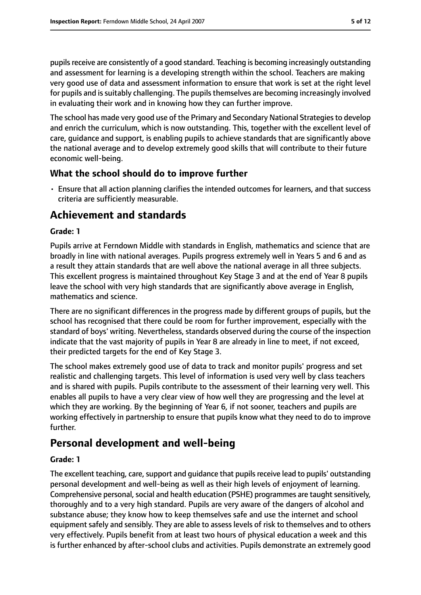pupils receive are consistently of a good standard. Teaching is becoming increasingly outstanding and assessment for learning is a developing strength within the school. Teachers are making very good use of data and assessment information to ensure that work is set at the right level for pupils and is suitably challenging. The pupils themselves are becoming increasingly involved in evaluating their work and in knowing how they can further improve.

The school has made very good use of the Primary and Secondary National Strategiesto develop and enrich the curriculum, which is now outstanding. This, together with the excellent level of care, guidance and support, is enabling pupils to achieve standards that are significantly above the national average and to develop extremely good skills that will contribute to their future economic well-being.

#### **What the school should do to improve further**

• Ensure that all action planning clarifies the intended outcomes for learners, and that success criteria are sufficiently measurable.

## **Achievement and standards**

#### **Grade: 1**

Pupils arrive at Ferndown Middle with standards in English, mathematics and science that are broadly in line with national averages. Pupils progress extremely well in Years 5 and 6 and as a result they attain standards that are well above the national average in all three subjects. This excellent progress is maintained throughout Key Stage 3 and at the end of Year 8 pupils leave the school with very high standards that are significantly above average in English, mathematics and science.

There are no significant differences in the progress made by different groups of pupils, but the school has recognised that there could be room for further improvement, especially with the standard of boys' writing. Nevertheless, standards observed during the course of the inspection indicate that the vast majority of pupils in Year 8 are already in line to meet, if not exceed, their predicted targets for the end of Key Stage 3.

The school makes extremely good use of data to track and monitor pupils' progress and set realistic and challenging targets. This level of information is used very well by class teachers and is shared with pupils. Pupils contribute to the assessment of their learning very well. This enables all pupils to have a very clear view of how well they are progressing and the level at which they are working. By the beginning of Year 6, if not sooner, teachers and pupils are working effectively in partnership to ensure that pupils know what they need to do to improve further.

## **Personal development and well-being**

#### **Grade: 1**

The excellent teaching, care, support and guidance that pupils receive lead to pupils' outstanding personal development and well-being as well as their high levels of enjoyment of learning. Comprehensive personal, social and health education (PSHE) programmes are taught sensitively, thoroughly and to a very high standard. Pupils are very aware of the dangers of alcohol and substance abuse; they know how to keep themselves safe and use the internet and school equipment safely and sensibly. They are able to assess levels of risk to themselves and to others very effectively. Pupils benefit from at least two hours of physical education a week and this is further enhanced by after-school clubs and activities. Pupils demonstrate an extremely good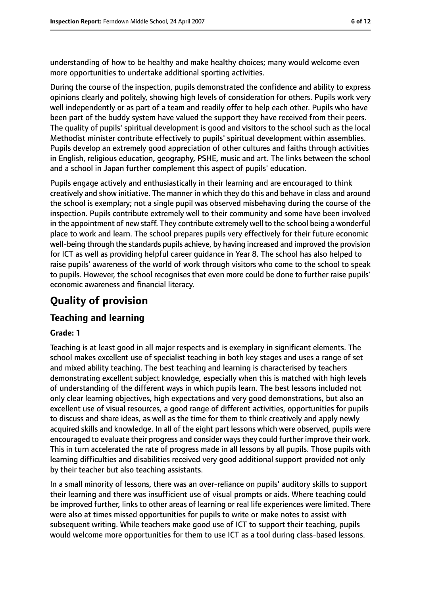understanding of how to be healthy and make healthy choices; many would welcome even more opportunities to undertake additional sporting activities.

During the course of the inspection, pupils demonstrated the confidence and ability to express opinions clearly and politely, showing high levels of consideration for others. Pupils work very well independently or as part of a team and readily offer to help each other. Pupils who have been part of the buddy system have valued the support they have received from their peers. The quality of pupils' spiritual development is good and visitors to the school such as the local Methodist minister contribute effectively to pupils' spiritual development within assemblies. Pupils develop an extremely good appreciation of other cultures and faiths through activities in English, religious education, geography, PSHE, music and art. The links between the school and a school in Japan further complement this aspect of pupils' education.

Pupils engage actively and enthusiastically in their learning and are encouraged to think creatively and show initiative. The manner in which they do this and behave in class and around the school is exemplary; not a single pupil was observed misbehaving during the course of the inspection. Pupils contribute extremely well to their community and some have been involved in the appointment of new staff. They contribute extremely well to the school being a wonderful place to work and learn. The school prepares pupils very effectively for their future economic well-being through the standards pupils achieve, by having increased and improved the provision for ICT as well as providing helpful career guidance in Year 8. The school has also helped to raise pupils' awareness of the world of work through visitors who come to the school to speak to pupils. However, the school recognises that even more could be done to further raise pupils' economic awareness and financial literacy.

# **Quality of provision**

## **Teaching and learning**

#### **Grade: 1**

Teaching is at least good in all major respects and is exemplary in significant elements. The school makes excellent use of specialist teaching in both key stages and uses a range of set and mixed ability teaching. The best teaching and learning is characterised by teachers demonstrating excellent subject knowledge, especially when this is matched with high levels of understanding of the different ways in which pupils learn. The best lessons included not only clear learning objectives, high expectations and very good demonstrations, but also an excellent use of visual resources, a good range of different activities, opportunities for pupils to discuss and share ideas, as well as the time for them to think creatively and apply newly acquired skills and knowledge. In all of the eight part lessons which were observed, pupils were encouraged to evaluate their progress and consider waysthey could further improve their work. This in turn accelerated the rate of progress made in all lessons by all pupils. Those pupils with learning difficulties and disabilities received very good additional support provided not only by their teacher but also teaching assistants.

In a small minority of lessons, there was an over-reliance on pupils' auditory skills to support their learning and there was insufficient use of visual prompts or aids. Where teaching could be improved further, links to other areas of learning or real life experiences were limited. There were also at times missed opportunities for pupils to write or make notes to assist with subsequent writing. While teachers make good use of ICT to support their teaching, pupils would welcome more opportunities for them to use ICT as a tool during class-based lessons.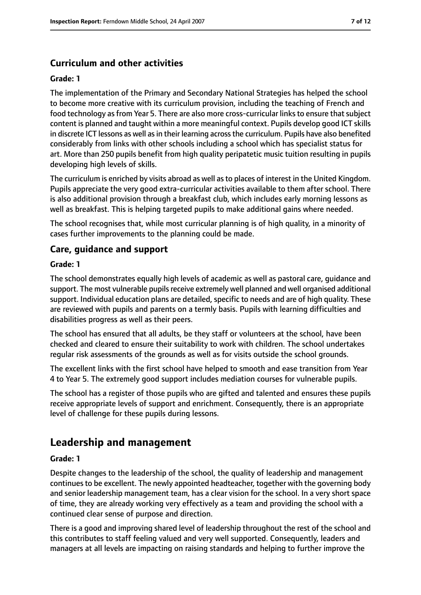## **Curriculum and other activities**

#### **Grade: 1**

The implementation of the Primary and Secondary National Strategies has helped the school to become more creative with its curriculum provision, including the teaching of French and food technology as from Year 5. There are also more cross-curricular links to ensure that subject content is planned and taught within a more meaningful context. Pupils develop good ICT skills in discrete ICT lessons as well as in their learning across the curriculum. Pupils have also benefited considerably from links with other schools including a school which has specialist status for art. More than 250 pupils benefit from high quality peripatetic music tuition resulting in pupils developing high levels of skills.

The curriculum is enriched by visits abroad as well asto places of interest in the United Kingdom. Pupils appreciate the very good extra-curricular activities available to them after school. There is also additional provision through a breakfast club, which includes early morning lessons as well as breakfast. This is helping targeted pupils to make additional gains where needed.

The school recognises that, while most curricular planning is of high quality, in a minority of cases further improvements to the planning could be made.

#### **Care, guidance and support**

#### **Grade: 1**

The school demonstrates equally high levels of academic as well as pastoral care, guidance and support. The most vulnerable pupils receive extremely well planned and well organised additional support. Individual education plans are detailed, specific to needs and are of high quality. These are reviewed with pupils and parents on a termly basis. Pupils with learning difficulties and disabilities progress as well as their peers.

The school has ensured that all adults, be they staff or volunteers at the school, have been checked and cleared to ensure their suitability to work with children. The school undertakes regular risk assessments of the grounds as well as for visits outside the school grounds.

The excellent links with the first school have helped to smooth and ease transition from Year 4 to Year 5. The extremely good support includes mediation courses for vulnerable pupils.

The school has a register of those pupils who are gifted and talented and ensures these pupils receive appropriate levels of support and enrichment. Consequently, there is an appropriate level of challenge for these pupils during lessons.

## **Leadership and management**

#### **Grade: 1**

Despite changes to the leadership of the school, the quality of leadership and management continues to be excellent. The newly appointed headteacher, together with the governing body and senior leadership management team, has a clear vision for the school. In a very short space of time, they are already working very effectively as a team and providing the school with a continued clear sense of purpose and direction.

There is a good and improving shared level of leadership throughout the rest of the school and this contributes to staff feeling valued and very well supported. Consequently, leaders and managers at all levels are impacting on raising standards and helping to further improve the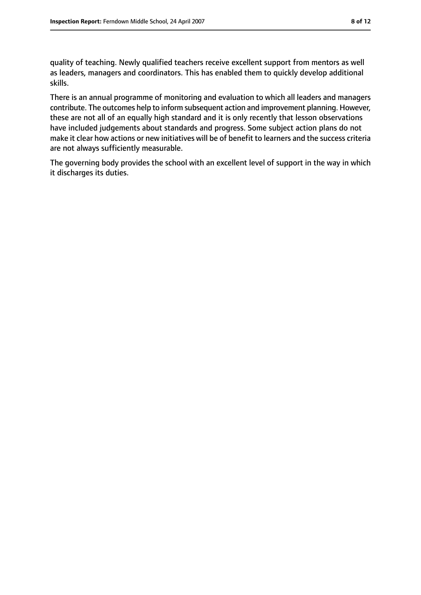quality of teaching. Newly qualified teachers receive excellent support from mentors as well as leaders, managers and coordinators. This has enabled them to quickly develop additional skills.

There is an annual programme of monitoring and evaluation to which all leaders and managers contribute. The outcomes help to inform subsequent action and improvement planning. However, these are not all of an equally high standard and it is only recently that lesson observations have included judgements about standards and progress. Some subject action plans do not make it clear how actions or new initiatives will be of benefit to learners and the success criteria are not always sufficiently measurable.

The governing body provides the school with an excellent level of support in the way in which it discharges its duties.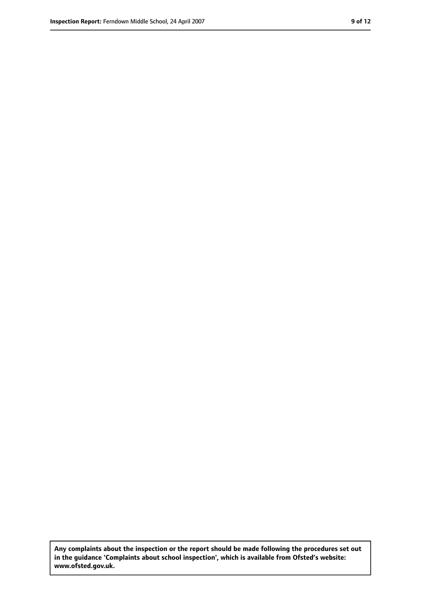**Any complaints about the inspection or the report should be made following the procedures set out in the guidance 'Complaints about school inspection', which is available from Ofsted's website: www.ofsted.gov.uk.**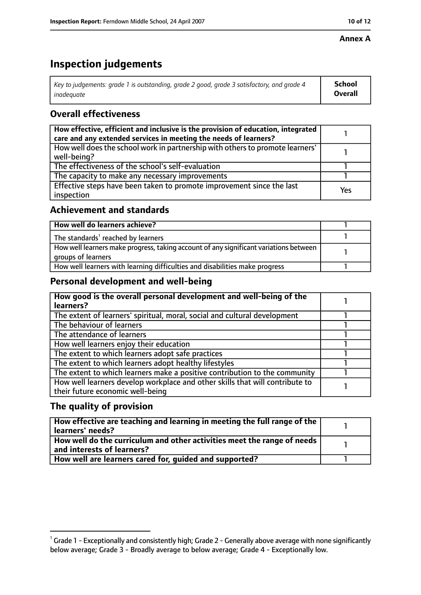#### **Annex A**

# **Inspection judgements**

| Key to judgements: grade 1 is outstanding, grade 2 good, grade 3 satisfactory, and grade 4 | School         |
|--------------------------------------------------------------------------------------------|----------------|
| inadeguate                                                                                 | <b>Overall</b> |

## **Overall effectiveness**

| How effective, efficient and inclusive is the provision of education, integrated<br>care and any extended services in meeting the needs of learners? |     |
|------------------------------------------------------------------------------------------------------------------------------------------------------|-----|
| How well does the school work in partnership with others to promote learners'<br>well-being?                                                         |     |
| The effectiveness of the school's self-evaluation                                                                                                    |     |
| The capacity to make any necessary improvements                                                                                                      |     |
| Effective steps have been taken to promote improvement since the last<br>inspection                                                                  | Yes |

#### **Achievement and standards**

| How well do learners achieve?                                                                               |  |
|-------------------------------------------------------------------------------------------------------------|--|
| The standards <sup>1</sup> reached by learners                                                              |  |
| How well learners make progress, taking account of any significant variations between<br>groups of learners |  |
| How well learners with learning difficulties and disabilities make progress                                 |  |

### **Personal development and well-being**

| How good is the overall personal development and well-being of the<br>learners?                                  |  |
|------------------------------------------------------------------------------------------------------------------|--|
| The extent of learners' spiritual, moral, social and cultural development                                        |  |
| The behaviour of learners                                                                                        |  |
| The attendance of learners                                                                                       |  |
| How well learners enjoy their education                                                                          |  |
| The extent to which learners adopt safe practices                                                                |  |
| The extent to which learners adopt healthy lifestyles                                                            |  |
| The extent to which learners make a positive contribution to the community                                       |  |
| How well learners develop workplace and other skills that will contribute to<br>their future economic well-being |  |

## **The quality of provision**

| How effective are teaching and learning in meeting the full range of the<br>learners' needs?          |  |
|-------------------------------------------------------------------------------------------------------|--|
| How well do the curriculum and other activities meet the range of needs<br>and interests of learners? |  |
| How well are learners cared for, quided and supported?                                                |  |

 $^1$  Grade 1 - Exceptionally and consistently high; Grade 2 - Generally above average with none significantly below average; Grade 3 - Broadly average to below average; Grade 4 - Exceptionally low.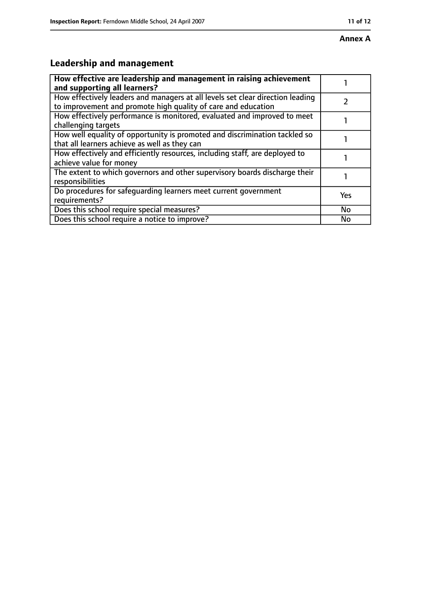# **Leadership and management**

| How effective are leadership and management in raising achievement<br>and supporting all learners?                                              |           |
|-------------------------------------------------------------------------------------------------------------------------------------------------|-----------|
| How effectively leaders and managers at all levels set clear direction leading<br>to improvement and promote high quality of care and education |           |
| How effectively performance is monitored, evaluated and improved to meet<br>challenging targets                                                 |           |
| How well equality of opportunity is promoted and discrimination tackled so<br>that all learners achieve as well as they can                     |           |
| How effectively and efficiently resources, including staff, are deployed to<br>achieve value for money                                          |           |
| The extent to which governors and other supervisory boards discharge their<br>responsibilities                                                  |           |
| Do procedures for safequarding learners meet current government<br>requirements?                                                                | Yes       |
| Does this school require special measures?                                                                                                      | <b>No</b> |
| Does this school require a notice to improve?                                                                                                   | No        |